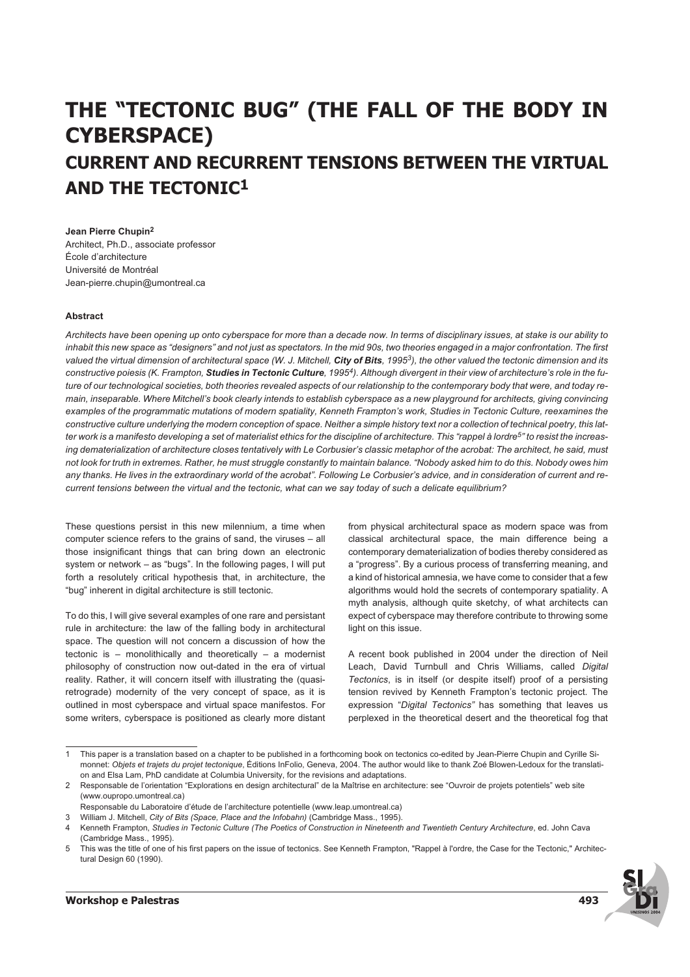# **THE "TECTONIC BUG" (THE FALL OF THE BODY IN CYBERSPACE) CURRENT AND RECURRENT TENSIONS BETWEEN THE VIRTUAL AND THE TECTONIC1**

**Jean Pierre Chupin2** Architect, Ph.D., associate professor École d'architecture Université de Montréal Jean-pierre.chupin@umontreal.ca

## **Abstract**

*Architects have been opening up onto cyberspace for more than a decade now. In terms of disciplinary issues, at stake is our ability to inhabit this new space as "designers" and not just as spectators. In the mid 90s, two theories engaged in a major confrontation. The first valued the virtual dimension of architectural space (W. J. Mitchell,* **City of Bits***, 19953), the other valued the tectonic dimension and its constructive poiesis (K. Frampton,* **Studies in Tectonic Culture***, 19954). Although divergent in their view of architecture's role in the future of our technological societies, both theories revealed aspects of our relationship to the contemporary body that were, and today remain, inseparable. Where Mitchell's book clearly intends to establish cyberspace as a new playground for architects, giving convincing examples of the programmatic mutations of modern spatiality, Kenneth Frampton's work, Studies in Tectonic Culture, reexamines the constructive culture underlying the modern conception of space. Neither a simple history text nor a collection of technical poetry, this latter work is a manifesto developing a set of materialist ethics for the discipline of architecture. This "rappel à lordre5" to resist the increasing dematerialization of architecture closes tentatively with Le Corbusier's classic metaphor of the acrobat: The architect, he said, must not look for truth in extremes. Rather, he must struggle constantly to maintain balance. "Nobody asked him to do this. Nobody owes him any thanks. He lives in the extraordinary world of the acrobat". Following Le Corbusier's advice, and in consideration of current and recurrent tensions between the virtual and the tectonic, what can we say today of such a delicate equilibrium?*

These questions persist in this new milennium, a time when computer science refers to the grains of sand, the viruses – all those insignificant things that can bring down an electronic system or network – as "bugs". In the following pages, I will put forth a resolutely critical hypothesis that, in architecture, the "bug" inherent in digital architecture is still tectonic.

To do this, I will give several examples of one rare and persistant rule in architecture: the law of the falling body in architectural space. The question will not concern a discussion of how the tectonic is – monolithically and theoretically – a modernist philosophy of construction now out-dated in the era of virtual reality. Rather, it will concern itself with illustrating the (quasiretrograde) modernity of the very concept of space, as it is outlined in most cyberspace and virtual space manifestos. For some writers, cyberspace is positioned as clearly more distant

from physical architectural space as modern space was from classical architectural space, the main difference being a contemporary dematerialization of bodies thereby considered as a "progress". By a curious process of transferring meaning, and a kind of historical amnesia, we have come to consider that a few algorithms would hold the secrets of contemporary spatiality. A myth analysis, although quite sketchy, of what architects can expect of cyberspace may therefore contribute to throwing some light on this issue.

A recent book published in 2004 under the direction of Neil Leach, David Turnbull and Chris Williams, called *Digital Tectonics*, is in itself (or despite itself) proof of a persisting tension revived by Kenneth Frampton's tectonic project. The expression "*Digital Tectonics"* has something that leaves us perplexed in the theoretical desert and the theoretical fog that

<sup>5</sup> This was the title of one of his first papers on the issue of tectonics. See Kenneth Frampton, "Rappel à l'ordre, the Case for the Tectonic," Architectural Design 60 (1990).



<sup>1</sup> This paper is a translation based on a chapter to be published in a forthcoming book on tectonics co-edited by Jean-Pierre Chupin and Cyrille Simonnet: *Objets et trajets du projet tectonique*, Éditions InFolio, Geneva, 2004. The author would like to thank Zoé Blowen-Ledoux for the translation and Elsa Lam, PhD candidate at Columbia University, for the revisions and adaptations.

<sup>2</sup> Responsable de l'orientation "Explorations en design architectural" de la Maîtrise en architecture: see "Ouvroir de projets potentiels" web site (www.oupropo.umontreal.ca)

Responsable du Laboratoire d'étude de l'architecture potentielle (www.leap.umontreal.ca)

<sup>3</sup> William J. Mitchell, *City of Bits (Space, Place and the Infobahn)* (Cambridge Mass., 1995).

<sup>4</sup> Kenneth Frampton, *Studies in Tectonic Culture (The Poetics of Construction in Nineteenth and Twentieth Century Architecture*, ed. John Cava (Cambridge Mass., 1995).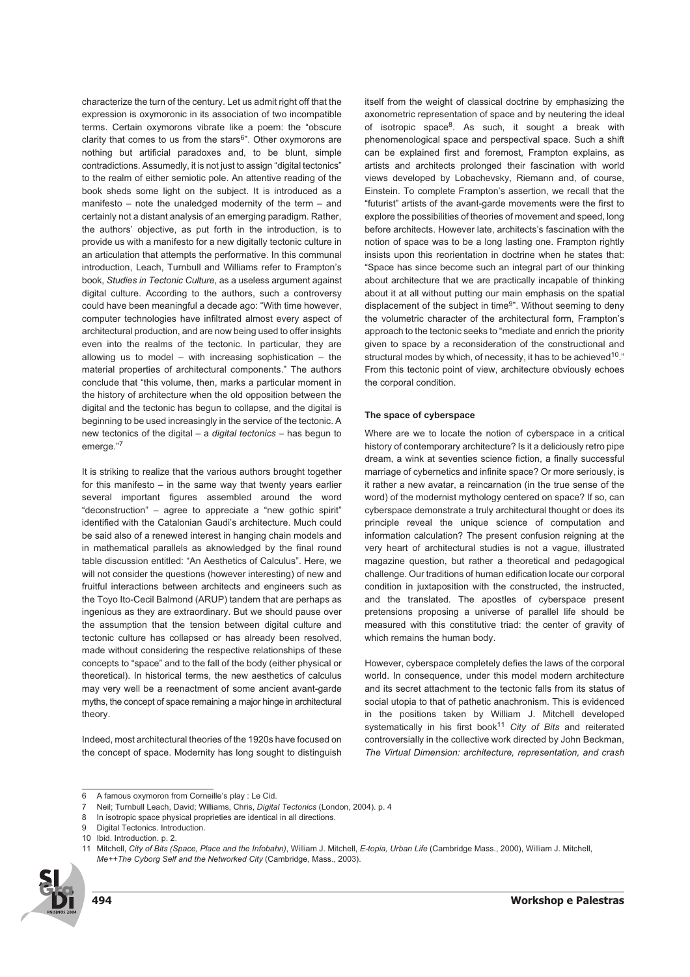characterize the turn of the century. Let us admit right off that the expression is oxymoronic in its association of two incompatible terms. Certain oxymorons vibrate like a poem: the "obscure clarity that comes to us from the stars<sup>6</sup>". Other oxymorons are nothing but artificial paradoxes and, to be blunt, simple contradictions. Assumedly, it is not just to assign "digital tectonics" to the realm of either semiotic pole. An attentive reading of the book sheds some light on the subject. It is introduced as a manifesto – note the unaledged modernity of the term – and certainly not a distant analysis of an emerging paradigm. Rather, the authors' objective, as put forth in the introduction, is to provide us with a manifesto for a new digitally tectonic culture in an articulation that attempts the performative. In this communal introduction, Leach, Turnbull and Williams refer to Frampton's book, *Studies in Tectonic Culture*, as a useless argument against digital culture. According to the authors, such a controversy could have been meaningful a decade ago: "With time however, computer technologies have infiltrated almost every aspect of architectural production, and are now being used to offer insights even into the realms of the tectonic. In particular, they are allowing us to model – with increasing sophistication – the material properties of architectural components." The authors conclude that "this volume, then, marks a particular moment in the history of architecture when the old opposition between the digital and the tectonic has begun to collapse, and the digital is beginning to be used increasingly in the service of the tectonic. A new tectonics of the digital – a *digital tectonics* – has begun to emerge."<sup>7</sup>

It is striking to realize that the various authors brought together for this manifesto – in the same way that twenty years earlier several important figures assembled around the word "deconstruction" – agree to appreciate a "new gothic spirit" identified with the Catalonian Gaudi's architecture. Much could be said also of a renewed interest in hanging chain models and in mathematical parallels as aknowledged by the final round table discussion entitled: "An Aesthetics of Calculus". Here, we will not consider the questions (however interesting) of new and fruitful interactions between architects and engineers such as the Toyo Ito-Cecil Balmond (ARUP) tandem that are perhaps as ingenious as they are extraordinary. But we should pause over the assumption that the tension between digital culture and tectonic culture has collapsed or has already been resolved, made without considering the respective relationships of these concepts to "space" and to the fall of the body (either physical or theoretical). In historical terms, the new aesthetics of calculus may very well be a reenactment of some ancient avant-garde myths, the concept of space remaining a major hinge in architectural theory.

Indeed, most architectural theories of the 1920s have focused on the concept of space. Modernity has long sought to distinguish itself from the weight of classical doctrine by emphasizing the axonometric representation of space and by neutering the ideal of isotropic space<sup>8</sup>. As such, it sought a break with phenomenological space and perspectival space. Such a shift can be explained first and foremost, Frampton explains, as artists and architects prolonged their fascination with world views developed by Lobachevsky, Riemann and, of course, Einstein. To complete Frampton's assertion, we recall that the "futurist" artists of the avant-garde movements were the first to explore the possibilities of theories of movement and speed, long before architects. However late, architects's fascination with the notion of space was to be a long lasting one. Frampton rightly insists upon this reorientation in doctrine when he states that: "Space has since become such an integral part of our thinking about architecture that we are practically incapable of thinking about it at all without putting our main emphasis on the spatial displacement of the subject in time<sup>9</sup>". Without seeming to deny the volumetric character of the architectural form, Frampton's approach to the tectonic seeks to "mediate and enrich the priority given to space by a reconsideration of the constructional and structural modes by which, of necessity, it has to be achieved<sup>10</sup>." From this tectonic point of view, architecture obviously echoes the corporal condition.

#### **The space of cyberspace**

Where are we to locate the notion of cyberspace in a critical history of contemporary architecture? Is it a deliciously retro pipe dream, a wink at seventies science fiction, a finally successful marriage of cybernetics and infinite space? Or more seriously, is it rather a new avatar, a reincarnation (in the true sense of the word) of the modernist mythology centered on space? If so, can cyberspace demonstrate a truly architectural thought or does its principle reveal the unique science of computation and information calculation? The present confusion reigning at the very heart of architectural studies is not a vague, illustrated magazine question, but rather a theoretical and pedagogical challenge. Our traditions of human edification locate our corporal condition in juxtaposition with the constructed, the instructed, and the translated. The apostles of cyberspace present pretensions proposing a universe of parallel life should be measured with this constitutive triad: the center of gravity of which remains the human body.

However, cyberspace completely defies the laws of the corporal world. In consequence, under this model modern architecture and its secret attachment to the tectonic falls from its status of social utopia to that of pathetic anachronism. This is evidenced in the positions taken by William J. Mitchell developed systematically in his first book<sup>11</sup> City of Bits and reiterated controversially in the collective work directed by John Beckman, *The Virtual Dimension: architecture, representation, and crash*

<sup>11</sup> Mitchell, *City of Bits (Space, Place and the Infobahn)*, William J. Mitchell, *E-topia, Urban Life* (Cambridge Mass., 2000), William J. Mitchell, *Me++The Cyborg Self and the Networked City* (Cambridge, Mass., 2003).



<sup>6</sup> A famous oxymoron from Corneille's play : Le Cid.

<sup>7</sup> Neil; Turnbull Leach, David; Williams, Chris, *Digital Tectonics* (London, 2004). p. 4

<sup>8</sup> In isotropic space physical proprieties are identical in all directions.

<sup>9</sup> Digital Tectonics. Introduction.

<sup>10</sup> Ibid. Introduction. p. 2.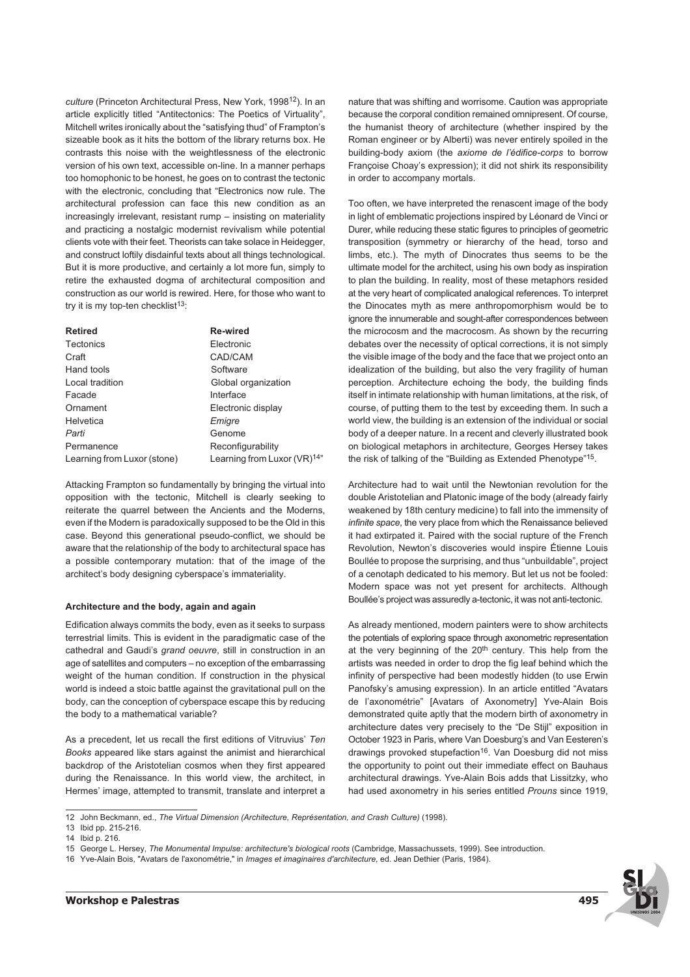*culture* (Princeton Architectural Press, New York, 199812). In an article explicitly titled "Antitectonics: The Poetics of Virtuality", Mitchell writes ironically about the "satisfying thud" of Frampton's sizeable book as it hits the bottom of the library returns box. He contrasts this noise with the weightlessness of the electronic version of his own text, accessible on-line. In a manner perhaps too homophonic to be honest, he goes on to contrast the tectonic with the electronic, concluding that "Electronics now rule. The architectural profession can face this new condition as an increasingly irrelevant, resistant rump – insisting on materiality and practicing a nostalgic modernist revivalism while potential clients vote with their feet. Theorists can take solace in Heidegger, and construct loftily disdainful texts about all things technological. But it is more productive, and certainly a lot more fun, simply to retire the exhausted dogma of architectural composition and construction as our world is rewired. Here, for those who want to try it is my top-ten checklist $13$ :

| <b>Retired</b>              | <b>Re-wired</b>                          |
|-----------------------------|------------------------------------------|
| <b>Tectonics</b>            | Electronic                               |
| Craft                       | CAD/CAM                                  |
| Hand tools                  | Software                                 |
| Local tradition             | Global organization                      |
| Facade                      | Interface                                |
| Ornament                    | Electronic display                       |
| Helvetica                   | Emigre                                   |
| Parti                       | Genome                                   |
| Permanence                  | Reconfigurability                        |
| Learning from Luxor (stone) | Learning from Luxor (VR) <sup>14</sup> " |

Attacking Frampton so fundamentally by bringing the virtual into opposition with the tectonic, Mitchell is clearly seeking to reiterate the quarrel between the Ancients and the Moderns, even if the Modern is paradoxically supposed to be the Old in this case. Beyond this generational pseudo-conflict, we should be aware that the relationship of the body to architectural space has a possible contemporary mutation: that of the image of the architect's body designing cyberspace's immateriality.

#### **Architecture and the body, again and again**

Edification always commits the body, even as it seeks to surpass terrestrial limits. This is evident in the paradigmatic case of the cathedral and Gaudi's *grand oeuvre*, still in construction in an age of satellites and computers – no exception of the embarrassing weight of the human condition. If construction in the physical world is indeed a stoic battle against the gravitational pull on the body, can the conception of cyberspace escape this by reducing the body to a mathematical variable?

As a precedent, let us recall the first editions of Vitruvius' *Ten Books* appeared like stars against the animist and hierarchical backdrop of the Aristotelian cosmos when they first appeared during the Renaissance. In this world view, the architect, in Hermes' image, attempted to transmit, translate and interpret a

nature that was shifting and worrisome. Caution was appropriate because the corporal condition remained omnipresent. Of course, the humanist theory of architecture (whether inspired by the Roman engineer or by Alberti) was never entirely spoiled in the building-body axiom (the *axiome de l'édifice-corps* to borrow Françoise Choay's expression); it did not shirk its responsibility in order to accompany mortals.

Too often, we have interpreted the renascent image of the body in light of emblematic projections inspired by Léonard de Vinci or Durer, while reducing these static figures to principles of geometric transposition (symmetry or hierarchy of the head, torso and limbs, etc.). The myth of Dinocrates thus seems to be the ultimate model for the architect, using his own body as inspiration to plan the building. In reality, most of these metaphors resided at the very heart of complicated analogical references. To interpret the Dinocates myth as mere anthropomorphism would be to ignore the innumerable and sought-after correspondences between the microcosm and the macrocosm. As shown by the recurring debates over the necessity of optical corrections, it is not simply the visible image of the body and the face that we project onto an idealization of the building, but also the very fragility of human perception. Architecture echoing the body, the building finds itself in intimate relationship with human limitations, at the risk, of course, of putting them to the test by exceeding them. In such a world view, the building is an extension of the individual or social body of a deeper nature. In a recent and cleverly illustrated book on biological metaphors in architecture, Georges Hersey takes the risk of talking of the "Building as Extended Phenotype"15.

Architecture had to wait until the Newtonian revolution for the double Aristotelian and Platonic image of the body (already fairly weakened by 18th century medicine) to fall into the immensity of *infinite space*, the very place from which the Renaissance believed it had extirpated it. Paired with the social rupture of the French Revolution, Newton's discoveries would inspire Étienne Louis Boullée to propose the surprising, and thus "unbuildable", project of a cenotaph dedicated to his memory. But let us not be fooled: Modern space was not yet present for architects. Although Boullée's project was assuredly a-tectonic, it was not anti-tectonic.

As already mentioned, modern painters were to show architects the potentials of exploring space through axonometric representation at the very beginning of the  $20<sup>th</sup>$  century. This help from the artists was needed in order to drop the fig leaf behind which the infinity of perspective had been modestly hidden (to use Erwin Panofsky's amusing expression). In an article entitled "Avatars de l'axonométrie" [Avatars of Axonometry] Yve-Alain Bois demonstrated quite aptly that the modern birth of axonometry in architecture dates very precisely to the "De Stijl" exposition in October 1923 in Paris, where Van Doesburg's and Van Eesteren's drawings provoked stupefaction<sup>16</sup>. Van Doesburg did not miss the opportunity to point out their immediate effect on Bauhaus architectural drawings. Yve-Alain Bois adds that Lissitzky, who had used axonometry in his series entitled *Prouns* since 1919,



<sup>12</sup> John Beckmann, ed., *The Virtual Dimension (Architecture, Représentation, and Crash Culture)* (1998).

<sup>13</sup> Ibid pp. 215-216.

<sup>14</sup> Ibid p. 216.

<sup>15</sup> George L. Hersey, *The Monumental Impulse: architecture's biological roots* (Cambridge, Massachussets, 1999). See introduction.

<sup>16</sup> Yve-Alain Bois, "Avatars de l'axonométrie," in *Images et imaginaires d'architecture*, ed. Jean Dethier (Paris, 1984).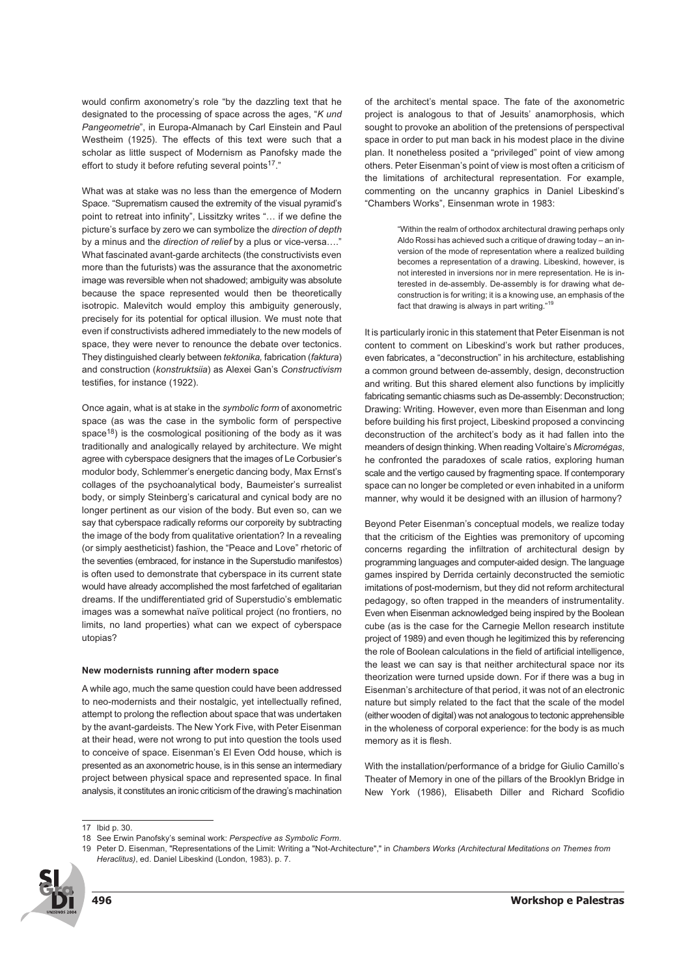would confirm axonometry's role "by the dazzling text that he designated to the processing of space across the ages, "*K und Pangeometrie*", in Europa-Almanach by Carl Einstein and Paul Westheim (1925). The effects of this text were such that a scholar as little suspect of Modernism as Panofsky made the effort to study it before refuting several points<sup>17</sup>."

What was at stake was no less than the emergence of Modern Space. "Suprematism caused the extremity of the visual pyramid's point to retreat into infinity", Lissitzky writes "… if we define the picture's surface by zero we can symbolize the *direction of depth* by a minus and the *direction of relief* by a plus or vice-versa…." What fascinated avant-garde architects (the constructivists even more than the futurists) was the assurance that the axonometric image was reversible when not shadowed; ambiguity was absolute because the space represented would then be theoretically isotropic. Malevitch would employ this ambiguity generously, precisely for its potential for optical illusion. We must note that even if constructivists adhered immediately to the new models of space, they were never to renounce the debate over tectonics. They distinguished clearly between *tektonika,* fabrication (*faktura*) and construction (*konstruktsiia*) as Alexei Gan's *Constructivism* testifies, for instance (1922).

Once again, what is at stake in the *symbolic form* of axonometric space (as was the case in the symbolic form of perspective space<sup>18</sup>) is the cosmological positioning of the body as it was traditionally and analogically relayed by architecture. We might agree with cyberspace designers that the images of Le Corbusier's modulor body, Schlemmer's energetic dancing body, Max Ernst's collages of the psychoanalytical body, Baumeister's surrealist body, or simply Steinberg's caricatural and cynical body are no longer pertinent as our vision of the body. But even so, can we say that cyberspace radically reforms our corporeity by subtracting the image of the body from qualitative orientation? In a revealing (or simply aestheticist) fashion, the "Peace and Love" rhetoric of the seventies (embraced, for instance in the Superstudio manifestos) is often used to demonstrate that cyberspace in its current state would have already accomplished the most farfetched of egalitarian dreams. If the undifferentiated grid of Superstudio's emblematic images was a somewhat naïve political project (no frontiers, no limits, no land properties) what can we expect of cyberspace utopias?

#### **New modernists running after modern space**

A while ago, much the same question could have been addressed to neo-modernists and their nostalgic, yet intellectually refined, attempt to prolong the reflection about space that was undertaken by the avant-gardeists. The New York Five, with Peter Eisenman at their head, were not wrong to put into question the tools used to conceive of space. Eisenman's El Even Odd house, which is presented as an axonometric house, is in this sense an intermediary project between physical space and represented space. In final analysis, it constitutes an ironic criticism of the drawing's machination of the architect's mental space. The fate of the axonometric project is analogous to that of Jesuits' anamorphosis, which sought to provoke an abolition of the pretensions of perspectival space in order to put man back in his modest place in the divine plan. It nonetheless posited a "privileged" point of view among others. Peter Eisenman's point of view is most often a criticism of the limitations of architectural representation. For example, commenting on the uncanny graphics in Daniel Libeskind's "Chambers Works", Einsenman wrote in 1983:

> "Within the realm of orthodox architectural drawing perhaps only Aldo Rossi has achieved such a critique of drawing today – an inversion of the mode of representation where a realized building becomes a representation of a drawing. Libeskind, however, is not interested in inversions nor in mere representation. He is interested in de-assembly. De-assembly is for drawing what deconstruction is for writing; it is a knowing use, an emphasis of the fact that drawing is always in part writing."

It is particularly ironic in this statement that Peter Eisenman is not content to comment on Libeskind's work but rather produces, even fabricates, a "deconstruction" in his architecture, establishing a common ground between de-assembly, design, deconstruction and writing. But this shared element also functions by implicitly fabricating semantic chiasms such as De-assembly: Deconstruction; Drawing: Writing. However, even more than Eisenman and long before building his first project, Libeskind proposed a convincing deconstruction of the architect's body as it had fallen into the meanders of design thinking. When reading Voltaire's *Micromégas*, he confronted the paradoxes of scale ratios, exploring human scale and the vertigo caused by fragmenting space. If contemporary space can no longer be completed or even inhabited in a uniform manner, why would it be designed with an illusion of harmony?

Beyond Peter Eisenman's conceptual models, we realize today that the criticism of the Eighties was premonitory of upcoming concerns regarding the infiltration of architectural design by programming languages and computer-aided design. The language games inspired by Derrida certainly deconstructed the semiotic imitations of post-modernism, but they did not reform architectural pedagogy, so often trapped in the meanders of instrumentality. Even when Eisenman acknowledged being inspired by the Boolean cube (as is the case for the Carnegie Mellon research institute project of 1989) and even though he legitimized this by referencing the role of Boolean calculations in the field of artificial intelligence, the least we can say is that neither architectural space nor its theorization were turned upside down. For if there was a bug in Eisenman's architecture of that period, it was not of an electronic nature but simply related to the fact that the scale of the model (either wooden of digital) was not analogous to tectonic apprehensible in the wholeness of corporal experience: for the body is as much memory as it is flesh.

With the installation/performance of a bridge for Giulio Camillo's Theater of Memory in one of the pillars of the Brooklyn Bridge in New York (1986), Elisabeth Diller and Richard Scofidio

<sup>19</sup> Peter D. Eisenman, "Representations of the Limit: Writing a "Not-Architecture"," in *Chambers Works (Architectural Meditations on Themes from Heraclitus)*, ed. Daniel Libeskind (London, 1983). p. 7.



<sup>17</sup> Ibid p. 30.

<sup>18</sup> See Erwin Panofsky's seminal work: *Perspective as Symbolic Form*.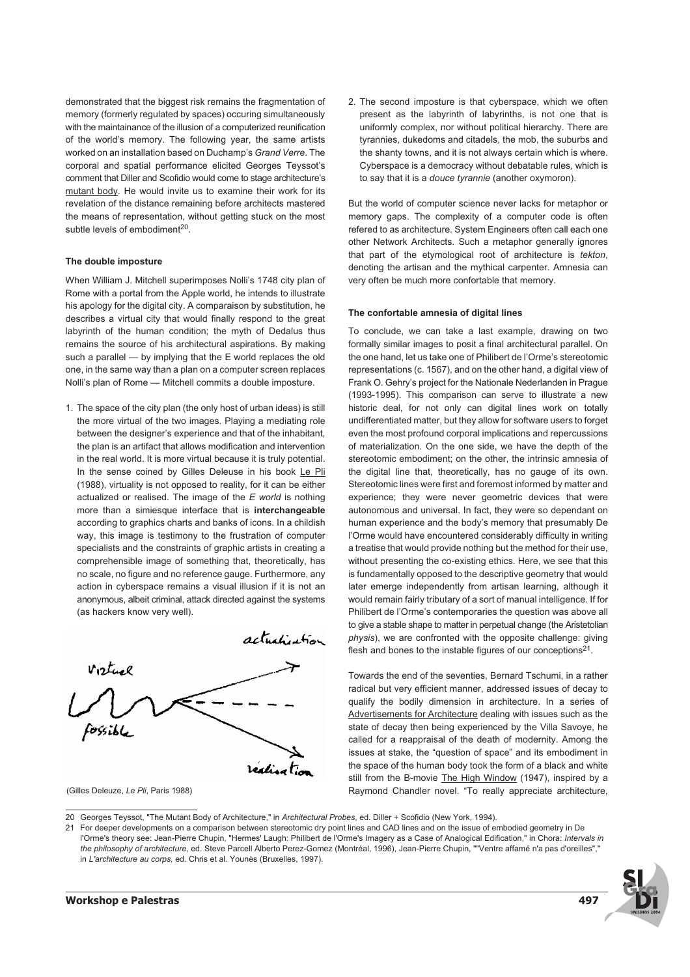demonstrated that the biggest risk remains the fragmentation of memory (formerly regulated by spaces) occuring simultaneously with the maintainance of the illusion of a computerized reunification of the world's memory. The following year, the same artists worked on an installation based on Duchamp's *Grand Verre*. The corporal and spatial performance elicited Georges Teyssot's comment that Diller and Scofidio would come to stage architecture's mutant body. He would invite us to examine their work for its revelation of the distance remaining before architects mastered the means of representation, without getting stuck on the most subtle levels of embodiment<sup>20</sup>.

### **The double imposture**

When William J. Mitchell superimposes Nolli's 1748 city plan of Rome with a portal from the Apple world, he intends to illustrate his apology for the digital city. A comparaison by substitution, he describes a virtual city that would finally respond to the great labyrinth of the human condition; the myth of Dedalus thus remains the source of his architectural aspirations. By making such a parallel — by implying that the E world replaces the old one, in the same way than a plan on a computer screen replaces Nolli's plan of Rome — Mitchell commits a double imposture.

1. The space of the city plan (the only host of urban ideas) is still the more virtual of the two images. Playing a mediating role between the designer's experience and that of the inhabitant, the plan is an artifact that allows modification and intervention in the real world. It is more virtual because it is truly potential. In the sense coined by Gilles Deleuse in his book Le Pli (1988), virtuality is not opposed to reality, for it can be either actualized or realised. The image of the *E world* is nothing more than a simiesque interface that is **interchangeable** according to graphics charts and banks of icons. In a childish way, this image is testimony to the frustration of computer specialists and the constraints of graphic artists in creating a comprehensible image of something that, theoretically, has no scale, no figure and no reference gauge. Furthermore, any action in cyberspace remains a visual illusion if it is not an anonymous, albeit criminal, attack directed against the systems (as hackers know very well).



<sup>(</sup>Gilles Deleuze, *Le Pli*, Paris 1988)

2. The second imposture is that cyberspace, which we often present as the labyrinth of labyrinths, is not one that is uniformly complex, nor without political hierarchy. There are tyrannies, dukedoms and citadels, the mob, the suburbs and the shanty towns, and it is not always certain which is where. Cyberspace is a democracy without debatable rules, which is to say that it is a *douce tyrannie* (another oxymoron).

But the world of computer science never lacks for metaphor or memory gaps. The complexity of a computer code is often refered to as architecture. System Engineers often call each one other Network Architects. Such a metaphor generally ignores that part of the etymological root of architecture is *tekton*, denoting the artisan and the mythical carpenter. Amnesia can very often be much more confortable that memory.

#### **The confortable amnesia of digital lines**

To conclude, we can take a last example, drawing on two formally similar images to posit a final architectural parallel. On the one hand, let us take one of Philibert de l'Orme's stereotomic representations (c. 1567), and on the other hand, a digital view of Frank O. Gehry's project for the Nationale Nederlanden in Prague (1993-1995). This comparison can serve to illustrate a new historic deal, for not only can digital lines work on totally undifferentiated matter, but they allow for software users to forget even the most profound corporal implications and repercussions of materialization. On the one side, we have the depth of the stereotomic embodiment; on the other, the intrinsic amnesia of the digital line that, theoretically, has no gauge of its own. Stereotomic lines were first and foremost informed by matter and experience; they were never geometric devices that were autonomous and universal. In fact, they were so dependant on human experience and the body's memory that presumably De l'Orme would have encountered considerably difficulty in writing a treatise that would provide nothing but the method for their use, without presenting the co-existing ethics. Here, we see that this is fundamentally opposed to the descriptive geometry that would later emerge independently from artisan learning, although it would remain fairly tributary of a sort of manual intelligence. If for Philibert de l'Orme's contemporaries the question was above all to give a stable shape to matter in perpetual change (the Aristetolian *physis*), we are confronted with the opposite challenge: giving flesh and bones to the instable figures of our conceptions $2^1$ .

Towards the end of the seventies, Bernard Tschumi, in a rather radical but very efficient manner, addressed issues of decay to qualify the bodily dimension in architecture. In a series of Advertisements for Architecture dealing with issues such as the state of decay then being experienced by the Villa Savoye, he called for a reappraisal of the death of modernity. Among the issues at stake, the "question of space" and its embodiment in the space of the human body took the form of a black and white still from the B-movie The High Window (1947), inspired by a Raymond Chandler novel. "To really appreciate architecture,

<sup>21</sup> For deeper developments on a comparison between stereotomic dry point lines and CAD lines and on the issue of embodied geometry in De l'Orme's theory see: Jean-Pierre Chupin, "Hermes' Laugh: Philibert de l'Orme's Imagery as a Case of Analogical Edification," in Chora: *Intervals in the philosophy of architecture*, ed. Steve Parcell Alberto Perez-Gomez (Montréal, 1996), Jean-Pierre Chupin, ""Ventre affamé n'a pas d'oreilles"," in *L'architecture au corps,* ed. Chris et al. Younès (Bruxelles, 1997).



<sup>20</sup> Georges Teyssot, "The Mutant Body of Architecture," in *Architectural Probes*, ed. Diller + Scofidio (New York, 1994).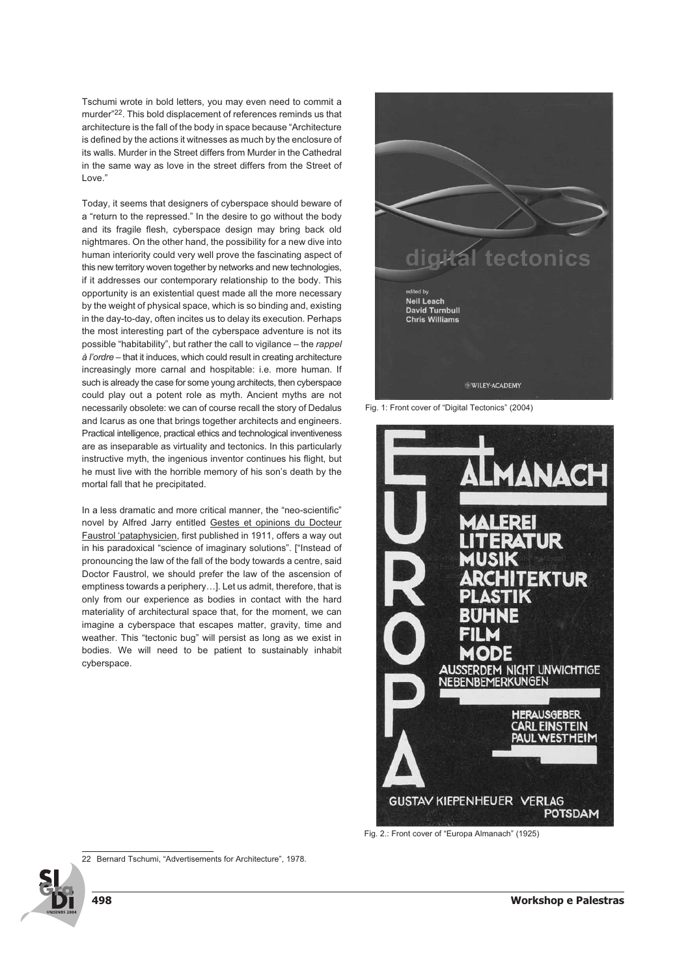Tschumi wrote in bold letters, you may even need to commit a murder"22. This bold displacement of references reminds us that architecture is the fall of the body in space because "Architecture is defined by the actions it witnesses as much by the enclosure of its walls. Murder in the Street differs from Murder in the Cathedral in the same way as love in the street differs from the Street of Love."

Today, it seems that designers of cyberspace should beware of a "return to the repressed." In the desire to go without the body and its fragile flesh, cyberspace design may bring back old nightmares. On the other hand, the possibility for a new dive into human interiority could very well prove the fascinating aspect of this new territory woven together by networks and new technologies, if it addresses our contemporary relationship to the body. This opportunity is an existential quest made all the more necessary by the weight of physical space, which is so binding and, existing in the day-to-day, often incites us to delay its execution. Perhaps the most interesting part of the cyberspace adventure is not its possible "habitability", but rather the call to vigilance – the *rappel à l'ordre* – that it induces, which could result in creating architecture increasingly more carnal and hospitable: i.e. more human. If such is already the case for some young architects, then cyberspace could play out a potent role as myth. Ancient myths are not necessarily obsolete: we can of course recall the story of Dedalus and Icarus as one that brings together architects and engineers. Practical intelligence, practical ethics and technological inventiveness are as inseparable as virtuality and tectonics. In this particularly instructive myth, the ingenious inventor continues his flight, but he must live with the horrible memory of his son's death by the mortal fall that he precipitated.

In a less dramatic and more critical manner, the "neo-scientific" novel by Alfred Jarry entitled Gestes et opinions du Docteur Faustrol 'pataphysicien, first published in 1911, offers a way out in his paradoxical "science of imaginary solutions". ["Instead of pronouncing the law of the fall of the body towards a centre, said Doctor Faustrol, we should prefer the law of the ascension of emptiness towards a periphery…]. Let us admit, therefore, that is only from our experience as bodies in contact with the hard materiality of architectural space that, for the moment, we can imagine a cyberspace that escapes matter, gravity, time and weather. This "tectonic bug" will persist as long as we exist in bodies. We will need to be patient to sustainably inhabit cyberspace.





Fig. 2.: Front cover of "Europa Almanach" (1925)

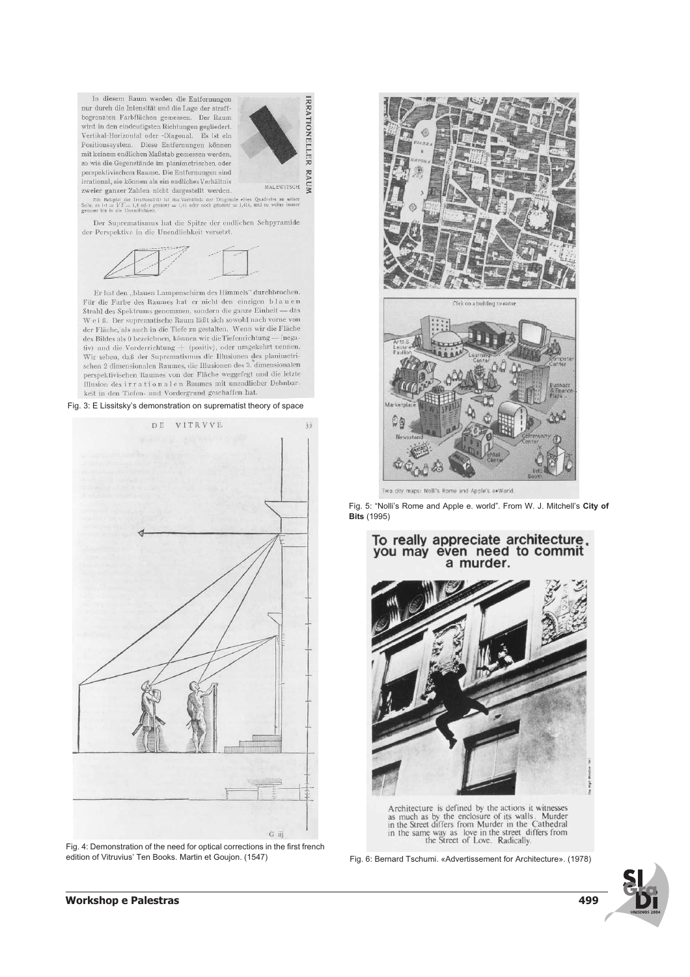In diesem Raum werden die Entfernungen nur durch die Intensität und die Lage der straffbegrenzten Farbflächen gemessen. Der Raum wird in den eindeutigsten Richtungen gegliedert. Vertikal-Horizontal oder -Diagonal. Es ist ein Positionssystem. Diese Entfernungen können mit keinem endlichen Maßstab gemessen werden, so wie die Gegenstände im planimetrischen oder perspektivischem Raume. Die Entfernungen sind irrational, sie können als ein endliches Verhältnis zweier ganzer Zahlen nicht dargestellt werden.



**ZWEIET Balancer Zahlieli Hierary Scheme Weiner Weiners (2011)**<br>
Ein Beispiel der Irrationalist ist das Verhältnis der Diagonale eines Quadrates zu seiner<br>
Selte, es 1st =  $\sqrt{Z} = 1.6$  del r genauer = 1,41 oder noch genau

 $\,$  Der Suprematismus hat die Spitze der endlichen Sehpyramide der Perspektive in die Unendlichkeit versetzt.



Er hat den "blauen Lampenschirm des Himmels" durchbrochen. Für die Farbe des Raumes hat er nicht den einzigen blauen Strahl des Spektrums genommen, sondern die ganze Einheit — das  $\mathbf W$ e i ß. Der suprematische Raum läßt sich sowohl nach vorne von der Fläche, als auch in die Tiefe zu gestalten. Wenn wir die Fläche des Bildes als 0 bezeichnen, können wir die Tiefemichtung — (negativ) und die Vorderrichtung + (positiv), oder umgekehrt nennen.<br>Wir sehen, daß der Suprematismus die Illusionen des planimetrischen 2 dimensionalen Raumes, die Illusionen des 3. dimensionalen perspektivischen Raumes von der Fläche weggefegt und die letzte Illusion des irrationalen Raumes mit unendlicher Dehnbarkeit in den Tiefen- und Vordergrund geschaffen hat.

Fig. 3: E Lissitsky's demonstration on suprematist theory of space



Fig. 4: Demonstration of the need for optical corrections in the first french edition of Vitruvius' Ten Books. Martin et Goujon. (1547)





Two city maps: Nolli's Rome and Apple's e.World.

Fig. 5: "Nolli's Rome and Apple e. world". From W. J. Mitchell's **City of Bits** (1995)





Architecture is defined by the actions it witnesses as much as by the enclosure of its walls. Murder<br>in the Street differs from Murder in the Cathedral in the same way as love in the street differs from<br>the Street of Love. Radically.

Fig. 6: Bernard Tschumi. «Advertissement for Architecture». (1978)